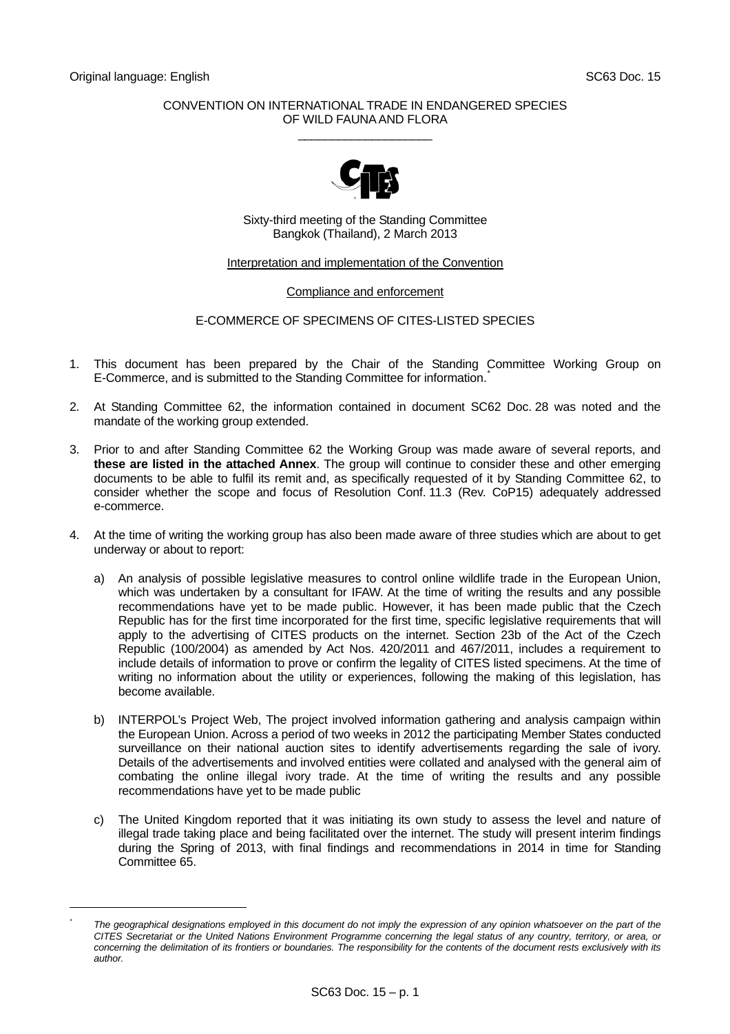<span id="page-0-0"></span>l *\**

### CONVENTION ON INTERNATIONAL TRADE IN ENDANGERED SPECIES OF WILD FAUNA AND FLORA  $\_$



Sixty-third meeting of the Standing Committee Bangkok (Thailand), 2 March 2013

### Interpretation and implementation of the Convention

# Compliance and enforcement

# E-COMMERCE OF SPECIMENS OF CITES-LISTED SPECIES

- 1. This document has been prepared by the Chair of the Standing Committee Working Group on E-Commerce, and is submitted to the Standing Committee for information.<sup>[\\*](#page-0-0)</sup>
- 2. At Standing Committee 62, the information contained in document SC62 Doc. 28 was noted and the mandate of the working group extended.
- 3. Prior to and after Standing Committee 62 the Working Group was made aware of several reports, and **these are listed in the attached Annex**. The group will continue to consider these and other emerging documents to be able to fulfil its remit and, as specifically requested of it by Standing Committee 62, to consider whether the scope and focus of Resolution Conf. 11.3 (Rev. CoP15) adequately addressed e-commerce.
- 4. At the time of writing the working group has also been made aware of three studies which are about to get underway or about to report:
	- a) An analysis of possible legislative measures to control online wildlife trade in the European Union, which was undertaken by a consultant for IFAW. At the time of writing the results and any possible recommendations have yet to be made public. However, it has been made public that the Czech Republic has for the first time incorporated for the first time, specific legislative requirements that will apply to the advertising of CITES products on the internet. Section 23b of the Act of the Czech Republic (100/2004) as amended by Act Nos. 420/2011 and 467/2011, includes a requirement to include details of information to prove or confirm the legality of CITES listed specimens. At the time of writing no information about the utility or experiences, following the making of this legislation, has become available.
	- b) INTERPOL's Project Web, The project involved information gathering and analysis campaign within the European Union. Across a period of two weeks in 2012 the participating Member States conducted surveillance on their national auction sites to identify advertisements regarding the sale of ivory. Details of the advertisements and involved entities were collated and analysed with the general aim of combating the online illegal ivory trade. At the time of writing the results and any possible recommendations have yet to be made public
	- c) The United Kingdom reported that it was initiating its own study to assess the level and nature of illegal trade taking place and being facilitated over the internet. The study will present interim findings during the Spring of 2013, with final findings and recommendations in 2014 in time for Standing Committee 65.

The geographical designations employed in this document do not imply the expression of any opinion whatsoever on the part of the *CITES Secretariat or the United Nations Environment Programme concerning the legal status of any country, territory, or area, or concerning the delimitation of its frontiers or boundaries. The responsibility for the contents of the document rests exclusively with its author.*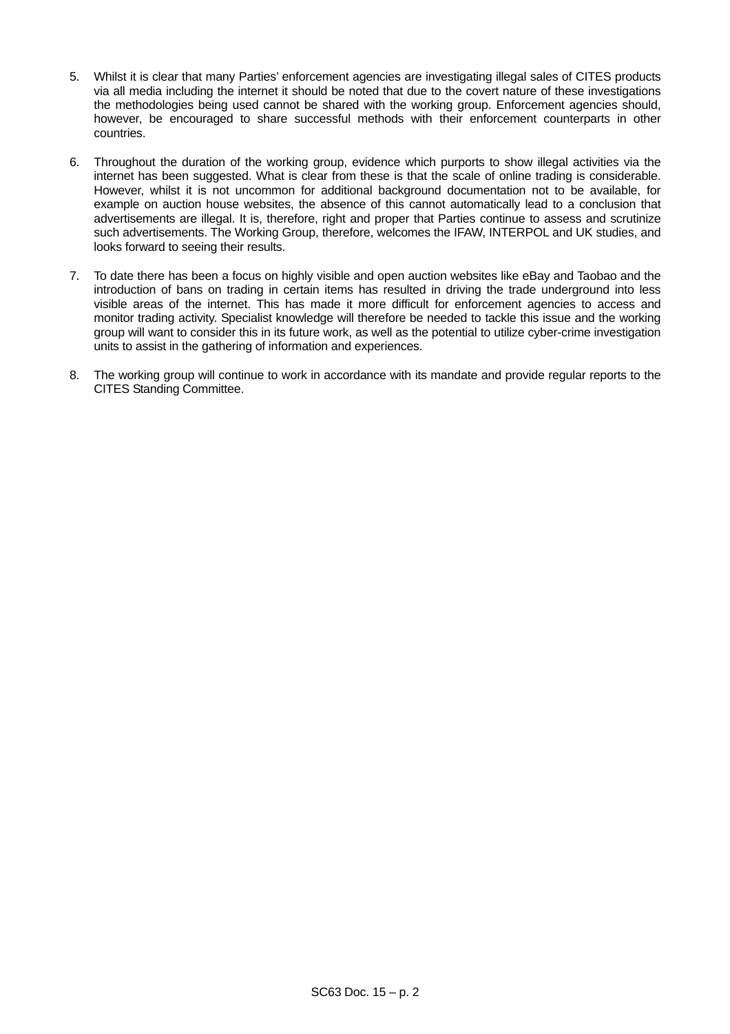- 5. Whilst it is clear that many Parties' enforcement agencies are investigating illegal sales of CITES products via all media including the internet it should be noted that due to the covert nature of these investigations the methodologies being used cannot be shared with the working group. Enforcement agencies should, however, be encouraged to share successful methods with their enforcement counterparts in other countries.
- 6. Throughout the duration of the working group, evidence which purports to show illegal activities via the internet has been suggested. What is clear from these is that the scale of online trading is considerable. However, whilst it is not uncommon for additional background documentation not to be available, for example on auction house websites, the absence of this cannot automatically lead to a conclusion that advertisements are illegal. It is, therefore, right and proper that Parties continue to assess and scrutinize such advertisements. The Working Group, therefore, welcomes the IFAW, INTERPOL and UK studies, and looks forward to seeing their results.
- 7. To date there has been a focus on highly visible and open auction websites like eBay and Taobao and the introduction of bans on trading in certain items has resulted in driving the trade underground into less visible areas of the internet. This has made it more difficult for enforcement agencies to access and monitor trading activity. Specialist knowledge will therefore be needed to tackle this issue and the working group will want to consider this in its future work, as well as the potential to utilize cyber-crime investigation units to assist in the gathering of information and experiences.
- 8. The working group will continue to work in accordance with its mandate and provide regular reports to the CITES Standing Committee.